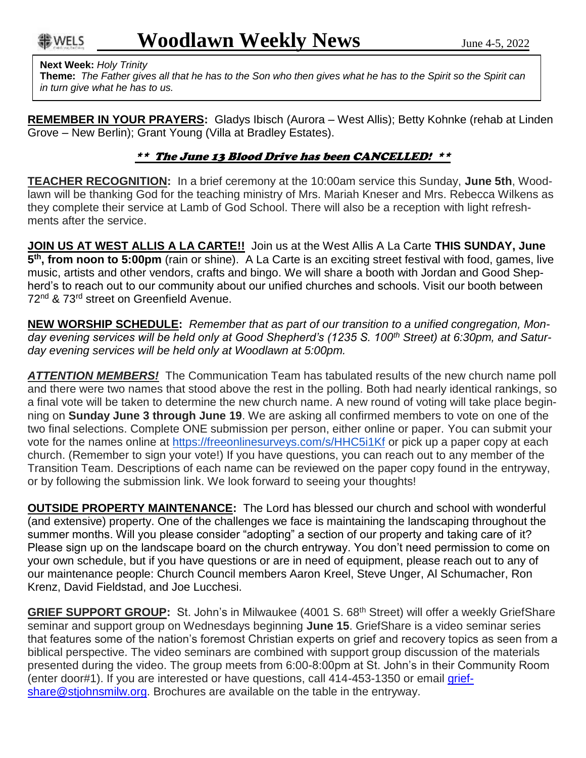## **Next Week:** *Holy Trinity*

**Theme:** *The Father gives all that he has to the Son who then gives what he has to the Spirit so the Spirit can in turn give what he has to us.*

**REMEMBER IN YOUR PRAYERS:** Gladys Ibisch (Aurora – West Allis); Betty Kohnke (rehab at Linden Grove – New Berlin); Grant Young (Villa at Bradley Estates).

## \*\* The June 13 Blood Drive has been CANCELLED! \*\*

**TEACHER RECOGNITION:** In a brief ceremony at the 10:00am service this Sunday, **June 5th**, Woodlawn will be thanking God for the teaching ministry of Mrs. Mariah Kneser and Mrs. Rebecca Wilkens as they complete their service at Lamb of God School. There will also be a reception with light refreshments after the service.

**JOIN US AT WEST ALLIS A LA CARTE!!** Join us at the West Allis A La Carte **THIS SUNDAY, June 5 th, from noon to 5:00pm** (rain or shine). A La Carte is an exciting street festival with food, games, live music, artists and other vendors, crafts and bingo. We will share a booth with Jordan and Good Shepherd's to reach out to our community about our unified churches and schools. Visit our booth between 72<sup>nd</sup> & 73<sup>rd</sup> street on Greenfield Avenue.

**NEW WORSHIP SCHEDULE:** *Remember that as part of our transition to a unified congregation, Monday evening services will be held only at Good Shepherd's (1235 S. 100th Street) at 6:30pm, and Saturday evening services will be held only at Woodlawn at 5:00pm.*

*ATTENTION MEMBERS!* The Communication Team has tabulated results of the new church name poll and there were two names that stood above the rest in the polling. Both had nearly identical rankings, so a final vote will be taken to determine the new church name. A new round of voting will take place beginning on **Sunday June 3 through June 19**. We are asking all confirmed members to vote on one of the two final selections. Complete ONE submission per person, either online or paper. You can submit your vote for the names online at <https://freeonlinesurveys.com/s/HHC5i1Kf> or pick up a paper copy at each church. (Remember to sign your vote!) If you have questions, you can reach out to any member of the Transition Team. Descriptions of each name can be reviewed on the paper copy found in the entryway, or by following the submission link. We look forward to seeing your thoughts!

**OUTSIDE PROPERTY MAINTENANCE:** The Lord has blessed our church and school with wonderful (and extensive) property. One of the challenges we face is maintaining the landscaping throughout the summer months. Will you please consider "adopting" a section of our property and taking care of it? Please sign up on the landscape board on the church entryway. You don't need permission to come on your own schedule, but if you have questions or are in need of equipment, please reach out to any of our maintenance people: Church Council members Aaron Kreel, Steve Unger, Al Schumacher, Ron Krenz, David Fieldstad, and Joe Lucchesi.

GRIEF SUPPORT GROUP: St. John's in Milwaukee (4001 S. 68<sup>th</sup> Street) will offer a weekly GriefShare seminar and support group on Wednesdays beginning **June 15**. GriefShare is a video seminar series that features some of the nation's foremost Christian experts on grief and recovery topics as seen from a biblical perspective. The video seminars are combined with support group discussion of the materials presented during the video. The group meets from 6:00-8:00pm at St. John's in their Community Room (enter door#1). If you are interested or have questions, call 414-453-1350 or email [grief](mailto:griefshare@stjohnsmilw.org)[share@stjohnsmilw.org.](mailto:griefshare@stjohnsmilw.org) Brochures are available on the table in the entryway.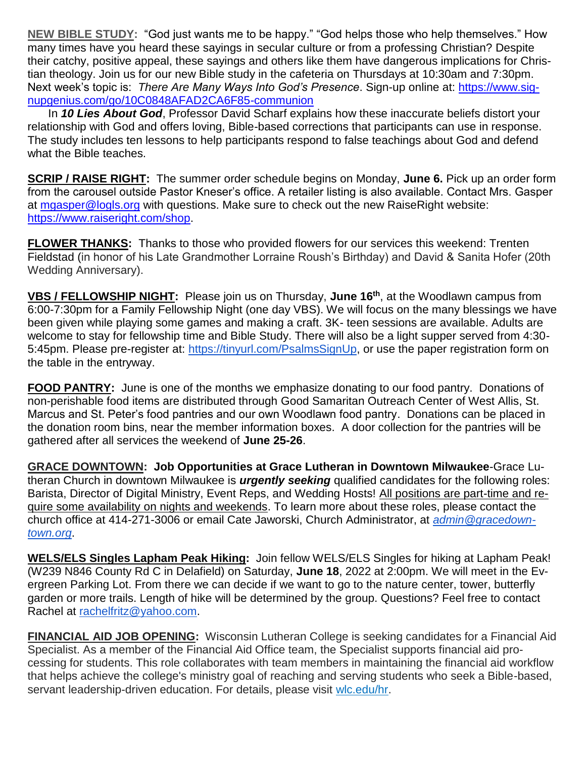**NEW BIBLE STUDY:** "God just wants me to be happy." "God helps those who help themselves." How many times have you heard these sayings in secular culture or from a professing Christian? Despite their catchy, positive appeal, these sayings and others like them have dangerous implications for Christian theology. Join us for our new Bible study in the cafeteria on Thursdays at 10:30am and 7:30pm. Next week's topic is: *There Are Many Ways Into God's Presence*. Sign-up online at: [https://www.sig](https://www.signupgenius.com/go/10C0848AFAD2CA6F85-communion)[nupgenius.com/go/10C0848AFAD2CA6F85-communion](https://www.signupgenius.com/go/10C0848AFAD2CA6F85-communion)

In *10 Lies About God*, Professor David Scharf explains how these inaccurate beliefs distort your relationship with God and offers loving, Bible-based corrections that participants can use in response. The study includes ten lessons to help participants respond to false teachings about God and defend what the Bible teaches.

**SCRIP / RAISE RIGHT:** The summer order schedule begins on Monday, **June 6.** Pick up an order form from the carousel outside Pastor Kneser's office. A retailer listing is also available. Contact Mrs. Gasper at [mgasper@logls.org](mailto:mgasper@logls.org) with questions. Make sure to check out the new RaiseRight website: [https://www.raiseright.com/shop.](https://www.raiseright.com/shop)

**FLOWER THANKS:** Thanks to those who provided flowers for our services this weekend: Trenten Fieldstad (in honor of his Late Grandmother Lorraine Roush's Birthday) and David & Sanita Hofer (20th Wedding Anniversary).

**VBS / FELLOWSHIP NIGHT:** Please join us on Thursday, **June 16th**, at the Woodlawn campus from 6:00-7:30pm for a Family Fellowship Night (one day VBS). We will focus on the many blessings we have been given while playing some games and making a craft. 3K- teen sessions are available. Adults are welcome to stay for fellowship time and Bible Study. There will also be a light supper served from 4:30 5:45pm. Please pre-register at: [https://tinyurl.com/PsalmsSignUp,](https://tinyurl.com/PsalmsSignUp) or use the paper registration form on the table in the entryway.

**FOOD PANTRY:** June is one of the months we emphasize donating to our food pantry. Donations of non-perishable food items are distributed through Good Samaritan Outreach Center of West Allis, St. Marcus and St. Peter's food pantries and our own Woodlawn food pantry. Donations can be placed in the donation room bins, near the member information boxes. A door collection for the pantries will be gathered after all services the weekend of **June 25-26**.

**GRACE DOWNTOWN: Job Opportunities at Grace Lutheran in Downtown Milwaukee**-Grace Lutheran Church in downtown Milwaukee is *urgently seeking* qualified candidates for the following roles: Barista, Director of Digital Ministry, Event Reps, and Wedding Hosts! All positions are part-time and require some availability on nights and weekends. To learn more about these roles, please contact the church office at 414-271-3006 or email Cate Jaworski, Church Administrator, at *[admin@gracedown](mailto:admin@gracedowntown.org)[town.org](mailto:admin@gracedowntown.org)*.

**WELS/ELS Singles Lapham Peak Hiking:** Join fellow WELS/ELS Singles for hiking at Lapham Peak! (W239 N846 County Rd C in Delafield) on Saturday, **June 18**, 2022 at 2:00pm. We will meet in the Evergreen Parking Lot. From there we can decide if we want to go to the nature center, tower, butterfly garden or more trails. Length of hike will be determined by the group. Questions? Feel free to contact Rachel at [rachelfritz@yahoo.com.](mailto:rachelfritz@yahoo.com)

**FINANCIAL AID JOB OPENING:** Wisconsin Lutheran College is seeking candidates for a Financial Aid Specialist. As a member of the Financial Aid Office team, the Specialist supports financial aid processing for students. This role collaborates with team members in maintaining the financial aid workflow that helps achieve the college's ministry goal of reaching and serving students who seek a Bible-based, servant leadership-driven education. For details, please visit wlc.edu/hr.